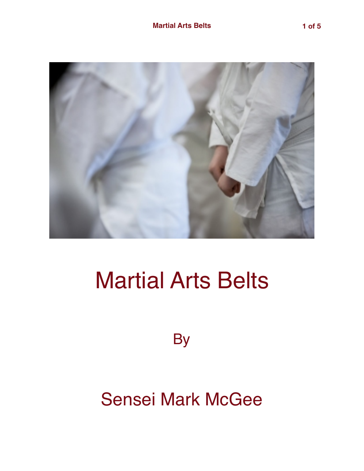

## Martial Arts Belts

**By** 

Sensei Mark McGee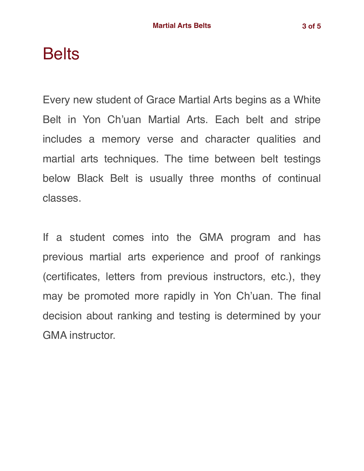## **Belts**

Every new student of Grace Martial Arts begins as a White Belt in Yon Ch'uan Martial Arts. Each belt and stripe includes a memory verse and character qualities and martial arts techniques. The time between belt testings below Black Belt is usually three months of continual classes.

If a student comes into the GMA program and has previous martial arts experience and proof of rankings (certificates, letters from previous instructors, etc.), they may be promoted more rapidly in Yon Ch'uan. The final decision about ranking and testing is determined by your GMA instructor.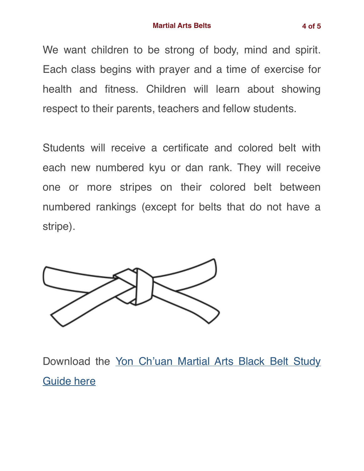We want children to be strong of body, mind and spirit. Each class begins with prayer and a time of exercise for health and fitness. Children will learn about showing respect to their parents, teachers and fellow students.

Students will receive a certificate and colored belt with each new numbered kyu or dan rank. They will receive one or more stripes on their colored belt between numbered rankings (except for belts that do not have a stripe).



Download the [Yon Ch'uan Martial Arts Black Belt Study](https://gracemartialarts.files.wordpress.com/2021/05/gma-black-belt-study-guide-2021b.pdf) [Guide here](https://gracemartialarts.files.wordpress.com/2021/05/gma-black-belt-study-guide-2021b.pdf)